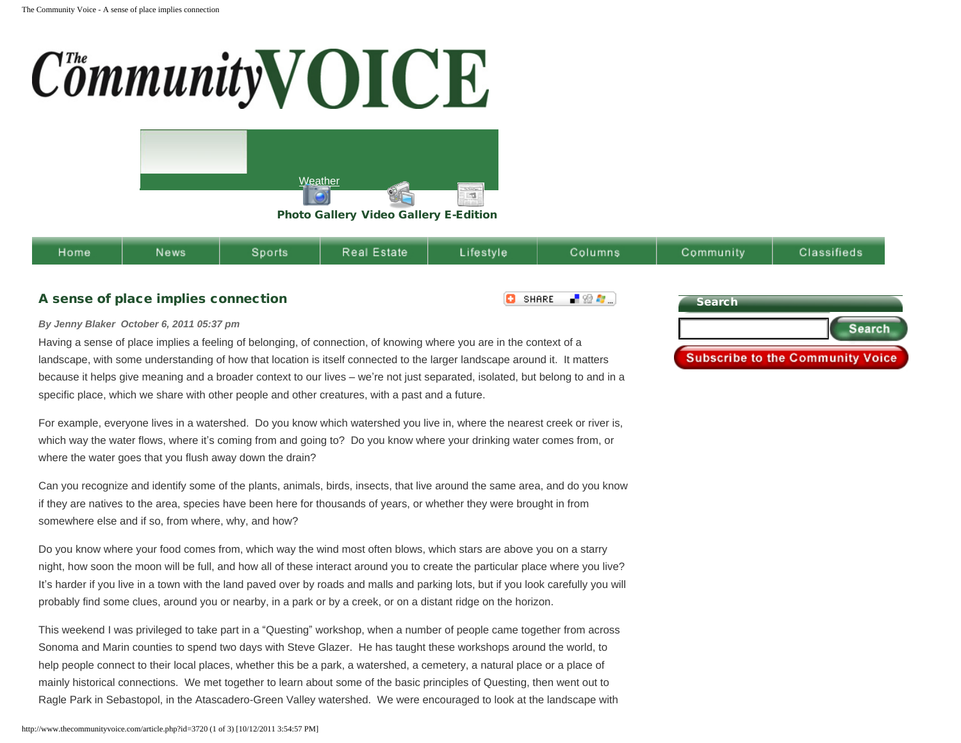## **CommunityVOICE**



[Photo Gallery](http://www.thecommunityvoice.com/photo_gallery.php) [Video Gallery](http://www.thecommunityvoice.com/videoshow.php) [E-Edition](http://www.thecommunityvoice.com/voice_config/eeditions/eedition100711.pdf)

| Home<br>state<br><b>News</b><br>estvle<br>Columns<br>Sports<br>community<br>sifieds |
|-------------------------------------------------------------------------------------|
|-------------------------------------------------------------------------------------|

o

SHARE

-82 A

## A sense of place implies connection

## *By Jenny Blaker October 6, 2011 05:37 pm*

Having a sense of place implies a feeling of belonging, of connection, of knowing where you are in the context of a landscape, with some understanding of how that location is itself connected to the larger landscape around it. It matters because it helps give meaning and a broader context to our lives – we're not just separated, isolated, but belong to and in a specific place, which we share with other people and other creatures, with a past and a future.

For example, everyone lives in a watershed. Do you know which watershed you live in, where the nearest creek or river is, which way the water flows, where it's coming from and going to? Do you know where your drinking water comes from, or where the water goes that you flush away down the drain?

Can you recognize and identify some of the plants, animals, birds, insects, that live around the same area, and do you know if they are natives to the area, species have been here for thousands of years, or whether they were brought in from somewhere else and if so, from where, why, and how?

Do you know where your food comes from, which way the wind most often blows, which stars are above you on a starry night, how soon the moon will be full, and how all of these interact around you to create the particular place where you live? It's harder if you live in a town with the land paved over by roads and malls and parking lots, but if you look carefully you will probably find some clues, around you or nearby, in a park or by a creek, or on a distant ridge on the horizon.

This weekend I was privileged to take part in a "Questing" workshop, when a number of people came together from across Sonoma and Marin counties to spend two days with Steve Glazer. He has taught these workshops around the world, to help people connect to their local places, whether this be a park, a watershed, a cemetery, a natural place or a place of mainly historical connections. We met together to learn about some of the basic principles of Questing, then went out to Ragle Park in Sebastopol, in the Atascadero-Green Valley watershed. We were encouraged to look at the landscape with

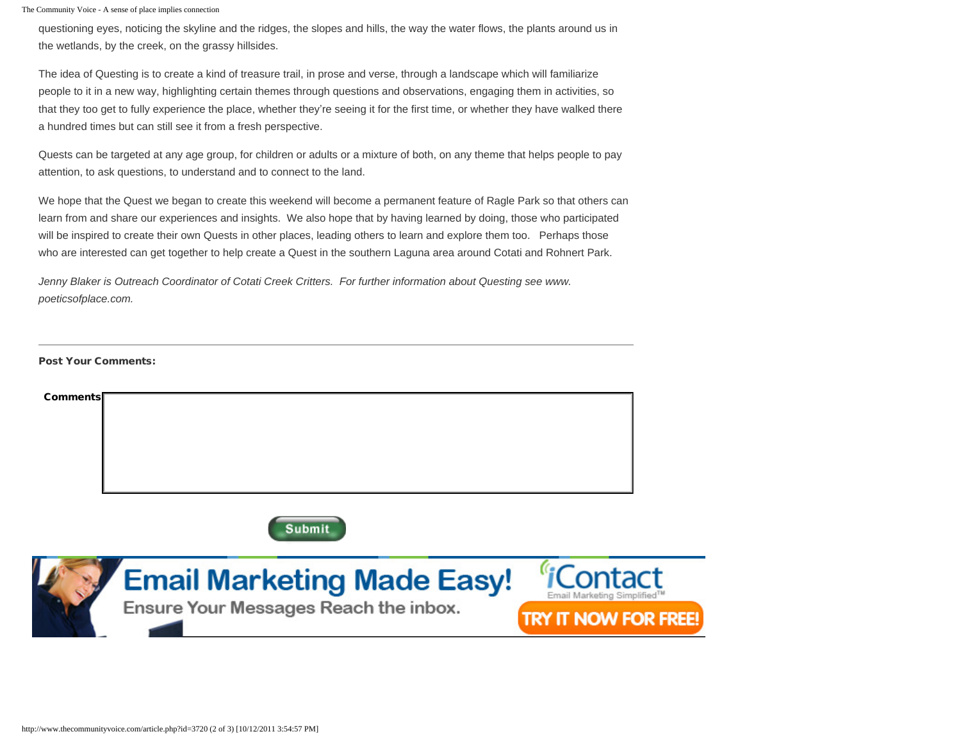The Community Voice - A sense of place implies connection

questioning eyes, noticing the skyline and the ridges, the slopes and hills, the way the water flows, the plants around us in the wetlands, by the creek, on the grassy hillsides.

The idea of Questing is to create a kind of treasure trail, in prose and verse, through a landscape which will familiarize people to it in a new way, highlighting certain themes through questions and observations, engaging them in activities, so that they too get to fully experience the place, whether they're seeing it for the first time, or whether they have walked there a hundred times but can still see it from a fresh perspective.

Quests can be targeted at any age group, for children or adults or a mixture of both, on any theme that helps people to pay attention, to ask questions, to understand and to connect to the land.

We hope that the Quest we began to create this weekend will become a permanent feature of Ragle Park so that others can learn from and share our experiences and insights. We also hope that by having learned by doing, those who participated will be inspired to create their own Quests in other places, leading others to learn and explore them too. Perhaps those who are interested can get together to help create a Quest in the southern Laguna area around Cotati and Rohnert Park.

*Jenny Blaker is Outreach Coordinator of Cotati Creek Critters. For further information about Questing see www. poeticsofplace.com.*

Post Your Comments:

| <b>Comments</b>                   |                         |
|-----------------------------------|-------------------------|
|                                   |                         |
|                                   |                         |
| <b>Submit</b>                     |                         |
| <b>Email Marketing Made Easy!</b> | <i><b>"iContact</b></i> |

Ensure Your Messages Reach the inbox.